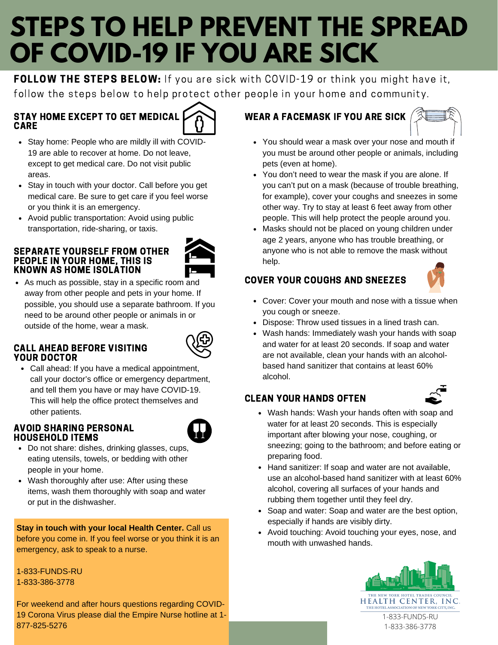# **STEPS TO HELP PREVENT THE SPREAD OF COVID-19 IF YOU ARE SICK**

FOLLOW THE STEPS BELOW: If you are sick with COVID-19 or think you might have it, follow the steps below to help protect other people in your home and community.

# STAY HOME EXCEPT TO GET MEDICAL CARE



- Stay home: People who are mildly ill with COVID-19 are able to recover at home. Do not leave, except to get medical care. Do not visit public areas.
- Stay in touch with your doctor. Call before you get medical care. Be sure to get care if you feel worse or you think it is an emergency.
- Avoid public transportation: Avoid using public transportation, ride-sharing, or taxis.

### SEPARATE YOURSELF FROM OTHER PEOPLE IN YOUR HOME, THIS IS KNOWN AS HOME ISOLATION



• As much as possible, stay in a specific room and away from other people and pets in your home. If possible, you should use a separate bathroom. If you need to be around other people or animals in or outside of the home, wear a mask.

## CALL AHEAD BEFORE VISITING YOUR DOCTOR



Call ahead: If you have a medical appointment, call your doctor's office or emergency department, and tell them you have or may have COVID-19. This will help the office protect themselves and other patients.

## AVOID SHARING PERSONAL HOUSEHOLD ITEMS



- Do not share: dishes, drinking glasses, cups, eating utensils, towels, or bedding with other people in your home.
- Wash thoroughly after use: After using these items, wash them thoroughly with soap and water or put in the dishwasher.

**Stay in touch with your local Health Center.** Call us before you come in. If you feel worse or you think it is an emergency, ask to speak to a nurse.

### 1-833-FUNDS-RU 1-833-386-3778

For weekend and after hours questions regarding COVID-19 Corona Virus please dial the Empire Nurse hotline at 1- 877-825-5276

# WEAR A FACEMASK IF YOU ARE SICK



- You should wear a mask over your nose and mouth if you must be around other people or animals, including pets (even at home).
- You don't need to wear the mask if you are alone. If you can't put on a mask (because of trouble breathing, for example), cover your coughs and sneezes in some other way. Try to stay at least 6 feet away from other people. This will help protect the people around you.
- Masks should not be placed on young children under age 2 years, anyone who has trouble breathing, or anyone who is not able to remove the mask without help.

# COVER YOUR COUGHS AND SNEEZES



- Cover: Cover your mouth and nose with a tissue when you cough or sneeze.
- Dispose: Throw used tissues in a lined trash can.
- Wash hands: Immediately wash your hands with soap and water for at least 20 seconds. If soap and water are not available, clean your hands with an alcoholbased hand sanitizer that contains at least 60% alcohol.

# CLEAN YOUR HANDS OFTEN



- Wash hands: Wash your hands often with soap and water for at least 20 seconds. This is especially important after blowing your nose, coughing, or sneezing; going to the bathroom; and before eating or preparing food.
- Hand sanitizer: If soap and water are not available, use an alcohol-based hand sanitizer with at least 60% alcohol, covering all surfaces of your hands and rubbing them together until they feel dry.
- Soap and water: Soap and water are the best option, especially if hands are visibly dirty.
- Avoid touching: Avoid touching your eyes, nose, and mouth with unwashed hands.



1-833-386-3778